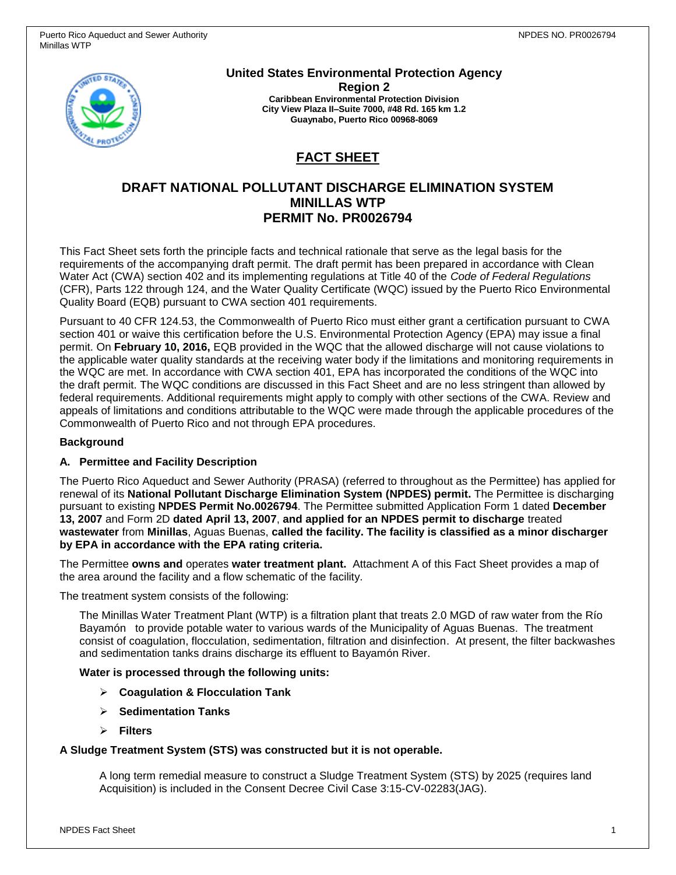

**United States Environmental Protection Agency Region 2 Caribbean Environmental Protection Division City View Plaza II–Suite 7000, #48 Rd. 165 km 1.2 Guaynabo, Puerto Rico 00968-8069**

# **FACT SHEET**

# **DRAFT NATIONAL POLLUTANT DISCHARGE ELIMINATION SYSTEM MINILLAS WTP PERMIT No. PR0026794**

This Fact Sheet sets forth the principle facts and technical rationale that serve as the legal basis for the requirements of the accompanying draft permit. The draft permit has been prepared in accordance with Clean Water Act (CWA) section 402 and its implementing regulations at Title 40 of the *Code of Federal Regulations* (CFR), Parts 122 through 124, and the Water Quality Certificate (WQC) issued by the Puerto Rico Environmental Quality Board (EQB) pursuant to CWA section 401 requirements.

Pursuant to 40 CFR 124.53, the Commonwealth of Puerto Rico must either grant a certification pursuant to CWA section 401 or waive this certification before the U.S. Environmental Protection Agency (EPA) may issue a final permit. On **February 10, 2016,** EQB provided in the WQC that the allowed discharge will not cause violations to the applicable water quality standards at the receiving water body if the limitations and monitoring requirements in the WQC are met. In accordance with CWA section 401, EPA has incorporated the conditions of the WQC into the draft permit. The WQC conditions are discussed in this Fact Sheet and are no less stringent than allowed by federal requirements. Additional requirements might apply to comply with other sections of the CWA. Review and appeals of limitations and conditions attributable to the WQC were made through the applicable procedures of the Commonwealth of Puerto Rico and not through EPA procedures.

#### **Background**

### **A. Permittee and Facility Description**

The Puerto Rico Aqueduct and Sewer Authority (PRASA) (referred to throughout as the Permittee) has applied for renewal of its **National Pollutant Discharge Elimination System (NPDES) permit.** The Permittee is discharging pursuant to existing **NPDES Permit No.0026794**. The Permittee submitted Application Form 1 dated **December 13, 2007** and Form 2D **dated April 13, 2007**, **and applied for an NPDES permit to discharge** treated **wastewater** from **Minillas**, Aguas Buenas, **called the facility. The facility is classified as a minor discharger by EPA in accordance with the EPA rating criteria.**

The Permittee **owns and** operates **water treatment plant.** Attachment A of this Fact Sheet provides a map of the area around the facility and a flow schematic of the facility.

The treatment system consists of the following:

The Minillas Water Treatment Plant (WTP) is a filtration plant that treats 2.0 MGD of raw water from the Río Bayamón to provide potable water to various wards of the Municipality of Aguas Buenas. The treatment consist of coagulation, flocculation, sedimentation, filtration and disinfection. At present, the filter backwashes and sedimentation tanks drains discharge its effluent to Bayamón River.

#### **Water is processed through the following units:**

- **Coagulation & Flocculation Tank**
- **Sedimentation Tanks**
- **Filters**

#### **A Sludge Treatment System (STS) was constructed but it is not operable.**

A long term remedial measure to construct a Sludge Treatment System (STS) by 2025 (requires land Acquisition) is included in the Consent Decree Civil Case 3:15-CV-02283(JAG).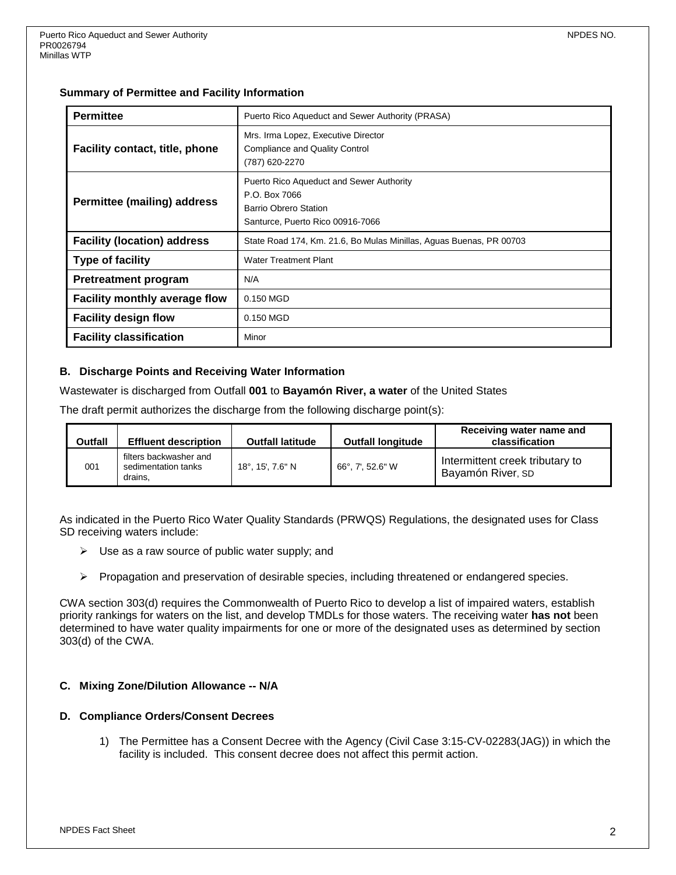#### **Summary of Permittee and Facility Information**

| <b>Permittee</b>                     | Puerto Rico Aqueduct and Sewer Authority (PRASA)                                                                       |  |  |  |
|--------------------------------------|------------------------------------------------------------------------------------------------------------------------|--|--|--|
| Facility contact, title, phone       | Mrs. Irma Lopez, Executive Director<br><b>Compliance and Quality Control</b><br>(787) 620-2270                         |  |  |  |
| Permittee (mailing) address          | Puerto Rico Aqueduct and Sewer Authority<br>P.O. Box 7066<br>Barrio Obrero Station<br>Santurce, Puerto Rico 00916-7066 |  |  |  |
| <b>Facility (location) address</b>   | State Road 174, Km. 21.6, Bo Mulas Minillas, Aguas Buenas, PR 00703                                                    |  |  |  |
| <b>Type of facility</b>              | <b>Water Treatment Plant</b>                                                                                           |  |  |  |
| <b>Pretreatment program</b>          | N/A                                                                                                                    |  |  |  |
| <b>Facility monthly average flow</b> | 0.150 MGD                                                                                                              |  |  |  |
| <b>Facility design flow</b>          | 0.150 MGD                                                                                                              |  |  |  |
| <b>Facility classification</b>       | Minor                                                                                                                  |  |  |  |

### **B. Discharge Points and Receiving Water Information**

Wastewater is discharged from Outfall **001** to **Bayamón River, a water** of the United States

The draft permit authorizes the discharge from the following discharge point(s):

| Outfall | <b>Effluent description</b>                              | <b>Outfall latitude</b> | <b>Outfall longitude</b> | Receiving water name and<br>classification           |
|---------|----------------------------------------------------------|-------------------------|--------------------------|------------------------------------------------------|
| 001     | filters backwasher and<br>sedimentation tanks<br>drains. | 18°, 15', 7.6" N        | 66°, 7', 52.6" W         | Intermittent creek tributary to<br>Bayamón River, SD |

As indicated in the Puerto Rico Water Quality Standards (PRWQS) Regulations, the designated uses for Class SD receiving waters include:

- $\triangleright$  Use as a raw source of public water supply; and
- $\triangleright$  Propagation and preservation of desirable species, including threatened or endangered species.

CWA section 303(d) requires the Commonwealth of Puerto Rico to develop a list of impaired waters, establish priority rankings for waters on the list, and develop TMDLs for those waters. The receiving water **has not** been determined to have water quality impairments for one or more of the designated uses as determined by section 303(d) of the CWA.

### **C. Mixing Zone/Dilution Allowance -- N/A**

#### **D. Compliance Orders/Consent Decrees**

1) The Permittee has a Consent Decree with the Agency (Civil Case 3:15-CV-02283(JAG)) in which the facility is included. This consent decree does not affect this permit action.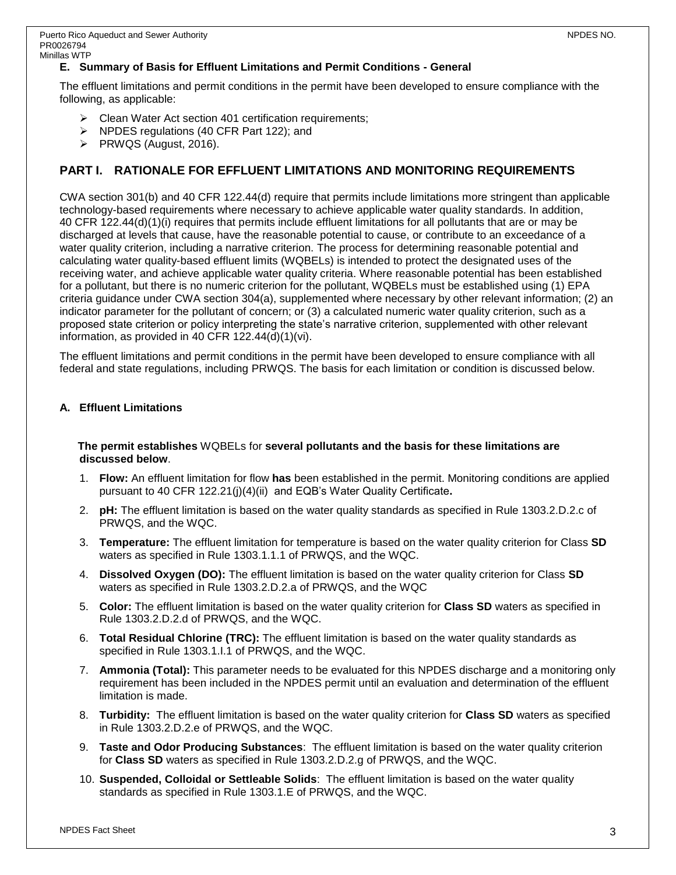The effluent limitations and permit conditions in the permit have been developed to ensure compliance with the following, as applicable:

- $\triangleright$  Clean Water Act section 401 certification requirements;
- $\triangleright$  NPDES regulations (40 CFR Part 122); and
- $\triangleright$  PRWQS (August, 2016).

# **PART I. RATIONALE FOR EFFLUENT LIMITATIONS AND MONITORING REQUIREMENTS**

CWA section 301(b) and 40 CFR 122.44(d) require that permits include limitations more stringent than applicable technology-based requirements where necessary to achieve applicable water quality standards. In addition, 40 CFR 122.44(d)(1)(i) requires that permits include effluent limitations for all pollutants that are or may be discharged at levels that cause, have the reasonable potential to cause, or contribute to an exceedance of a water quality criterion, including a narrative criterion. The process for determining reasonable potential and calculating water quality-based effluent limits (WQBELs) is intended to protect the designated uses of the receiving water, and achieve applicable water quality criteria. Where reasonable potential has been established for a pollutant, but there is no numeric criterion for the pollutant, WQBELs must be established using (1) EPA criteria guidance under CWA section 304(a), supplemented where necessary by other relevant information; (2) an indicator parameter for the pollutant of concern; or (3) a calculated numeric water quality criterion, such as a proposed state criterion or policy interpreting the state's narrative criterion, supplemented with other relevant information, as provided in 40 CFR 122.44(d)(1)(vi).

The effluent limitations and permit conditions in the permit have been developed to ensure compliance with all federal and state regulations, including PRWQS. The basis for each limitation or condition is discussed below.

### **A. Effluent Limitations**

#### **The permit establishes** WQBELs for **several pollutants and the basis for these limitations are discussed below**.

- 1. **Flow:** An effluent limitation for flow **has** been established in the permit. Monitoring conditions are applied pursuant to 40 CFR 122.21(j)(4)(ii) and EQB's Water Quality Certificate**.**
- 2. **pH:** The effluent limitation is based on the water quality standards as specified in Rule 1303.2.D.2.c of PRWQS, and the WQC.
- 3. **Temperature:** The effluent limitation for temperature is based on the water quality criterion for Class **SD** waters as specified in Rule 1303.1.1.1 of PRWQS, and the WQC.
- 4. **Dissolved Oxygen (DO):** The effluent limitation is based on the water quality criterion for Class **SD** waters as specified in Rule 1303.2.D.2.a of PRWQS, and the WQC
- 5. **Color:** The effluent limitation is based on the water quality criterion for **Class SD** waters as specified in Rule 1303.2.D.2.d of PRWQS, and the WQC.
- 6. **Total Residual Chlorine (TRC):** The effluent limitation is based on the water quality standards as specified in Rule 1303.1.I.1 of PRWQS, and the WQC.
- 7. **Ammonia (Total):** This parameter needs to be evaluated for this NPDES discharge and a monitoring only requirement has been included in the NPDES permit until an evaluation and determination of the effluent limitation is made.
- 8. **Turbidity:** The effluent limitation is based on the water quality criterion for **Class SD** waters as specified in Rule 1303.2.D.2.e of PRWQS, and the WQC.
- 9. **Taste and Odor Producing Substances**: The effluent limitation is based on the water quality criterion for **Class SD** waters as specified in Rule 1303.2.D.2.g of PRWQS, and the WQC.
- 10. **Suspended, Colloidal or Settleable Solids**: The effluent limitation is based on the water quality standards as specified in Rule 1303.1.E of PRWQS, and the WQC.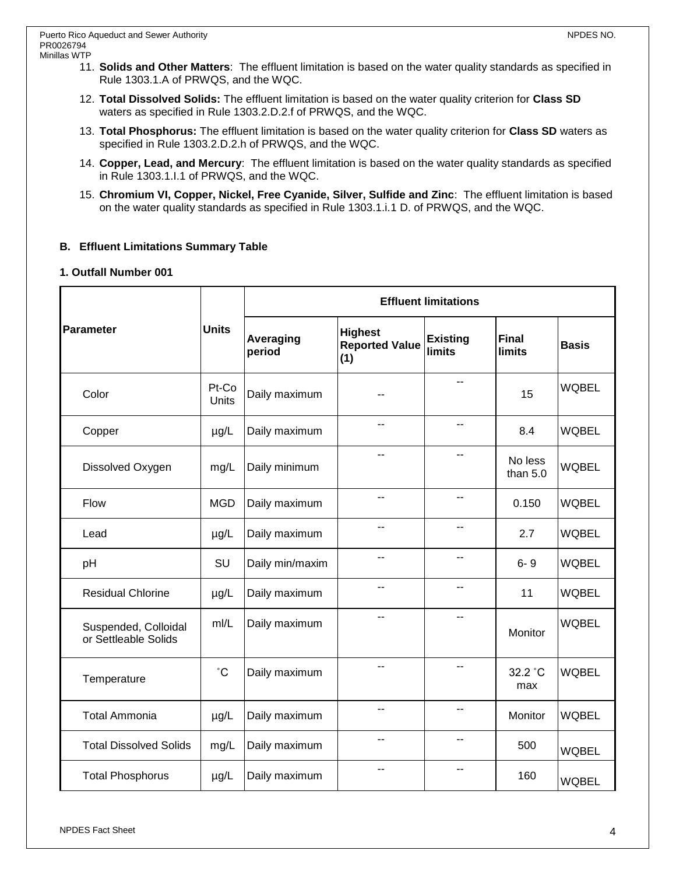- 11. **Solids and Other Matters**: The effluent limitation is based on the water quality standards as specified in Rule 1303.1.A of PRWQS, and the WQC.
- 12. **Total Dissolved Solids:** The effluent limitation is based on the water quality criterion for **Class SD** waters as specified in Rule 1303.2.D.2.f of PRWQS, and the WQC.
- 13. **Total Phosphorus:** The effluent limitation is based on the water quality criterion for **Class SD** waters as specified in Rule 1303.2.D.2.h of PRWQS, and the WQC.
- 14. **Copper, Lead, and Mercury**: The effluent limitation is based on the water quality standards as specified in Rule 1303.1.I.1 of PRWQS, and the WQC.
- 15. **Chromium VI, Copper, Nickel, Free Cyanide, Silver, Sulfide and Zinc**: The effluent limitation is based on the water quality standards as specified in Rule 1303.1.i.1 D. of PRWQS, and the WQC.

### **B. Effluent Limitations Summary Table**

### **1. Outfall Number 001**

| Parameter                                    | <b>Units</b>   | <b>Effluent limitations</b> |                                                |                                  |                               |              |  |
|----------------------------------------------|----------------|-----------------------------|------------------------------------------------|----------------------------------|-------------------------------|--------------|--|
|                                              |                | Averaging<br>period         | <b>Highest</b><br><b>Reported Value</b><br>(1) | <b>Existing</b><br><b>limits</b> | <b>Final</b><br><b>limits</b> | <b>Basis</b> |  |
| Color                                        | Pt-Co<br>Units | Daily maximum               | --                                             |                                  | 15                            | <b>WQBEL</b> |  |
| Copper                                       | $\mu$ g/L      | Daily maximum               | --                                             | $-$                              | 8.4                           | <b>WQBEL</b> |  |
| Dissolved Oxygen                             | mg/L           | Daily minimum               | --                                             | --                               | No less<br>than $5.0$         | <b>WQBEL</b> |  |
| Flow                                         | <b>MGD</b>     | Daily maximum               | --                                             | --                               | 0.150                         | <b>WQBEL</b> |  |
| Lead                                         | $\mu$ g/L      | Daily maximum               | ۰-                                             | --                               | 2.7                           | <b>WQBEL</b> |  |
| pH                                           | SU             | Daily min/maxim             | --                                             |                                  | $6 - 9$                       | <b>WQBEL</b> |  |
| <b>Residual Chlorine</b>                     | µg/L           | Daily maximum               | --                                             | $-$                              | 11                            | <b>WQBEL</b> |  |
| Suspended, Colloidal<br>or Settleable Solids | m/L            | Daily maximum               | --                                             |                                  | Monitor                       | <b>WQBEL</b> |  |
| Temperature                                  | $^{\circ}C$    | Daily maximum               | $-$                                            | $-$                              | 32.2 °C<br>max                | <b>WQBEL</b> |  |
| <b>Total Ammonia</b>                         | $\mu$ g/L      | Daily maximum               | --                                             | $-$                              | Monitor                       | <b>WQBEL</b> |  |
| <b>Total Dissolved Solids</b>                | mg/L           | Daily maximum               | --                                             | --                               | 500                           | <b>WQBEL</b> |  |
| <b>Total Phosphorus</b>                      | $\mu$ g/L      | Daily maximum               | --                                             | --                               | 160                           | <b>WQBEL</b> |  |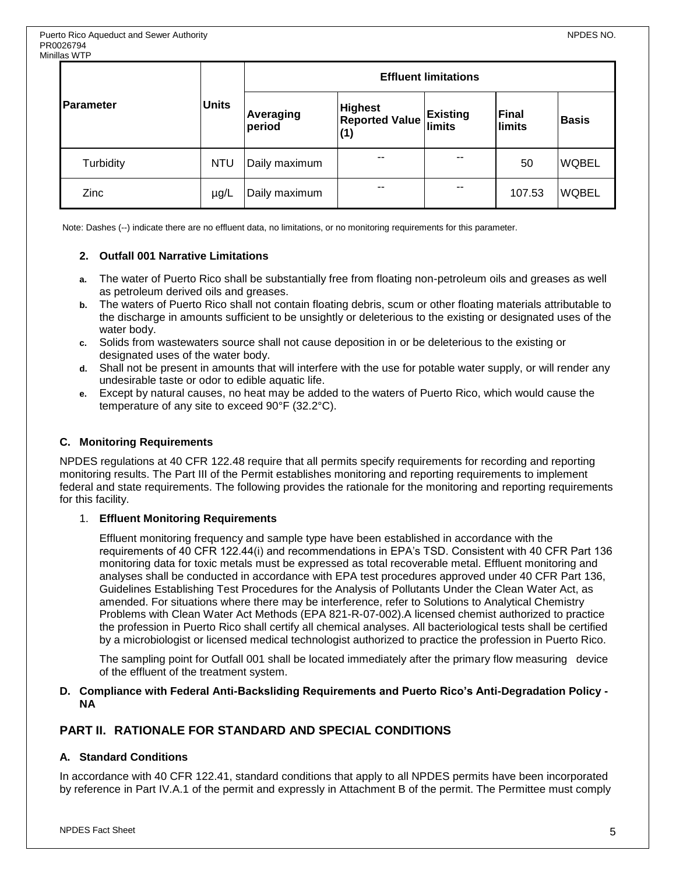| ililaə vv il<br><b>IParameter</b> | <b>Units</b> | <b>Effluent limitations</b> |                                                |                                  |                 |              |  |
|-----------------------------------|--------------|-----------------------------|------------------------------------------------|----------------------------------|-----------------|--------------|--|
|                                   |              | Averaging<br>period         | <b>Highest</b><br><b>Reported Value</b><br>(1) | <b>Existing</b><br><b>limits</b> | Final<br>limits | <b>Basis</b> |  |
| Turbidity                         | <b>NTU</b>   | Daily maximum               | $\sim$ $\sim$                                  | --                               | 50              | <b>WQBEL</b> |  |
| Zinc                              | $\mu$ g/L    | Daily maximum               | $- -$                                          | $- -$                            | 107.53          | <b>WQBEL</b> |  |

Note: Dashes (--) indicate there are no effluent data, no limitations, or no monitoring requirements for this parameter.

#### **2. Outfall 001 Narrative Limitations**

- **a.** The water of Puerto Rico shall be substantially free from floating non-petroleum oils and greases as well as petroleum derived oils and greases.
- **b.** The waters of Puerto Rico shall not contain floating debris, scum or other floating materials attributable to the discharge in amounts sufficient to be unsightly or deleterious to the existing or designated uses of the water body.
- **c.** Solids from wastewaters source shall not cause deposition in or be deleterious to the existing or designated uses of the water body.
- **d.** Shall not be present in amounts that will interfere with the use for potable water supply, or will render any undesirable taste or odor to edible aquatic life.
- **e.** Except by natural causes, no heat may be added to the waters of Puerto Rico, which would cause the temperature of any site to exceed 90°F (32.2°C).

#### **C. Monitoring Requirements**

NPDES regulations at 40 CFR 122.48 require that all permits specify requirements for recording and reporting monitoring results. The Part III of the Permit establishes monitoring and reporting requirements to implement federal and state requirements. The following provides the rationale for the monitoring and reporting requirements for this facility.

#### 1. **Effluent Monitoring Requirements**

Effluent monitoring frequency and sample type have been established in accordance with the requirements of 40 CFR 122.44(i) and recommendations in EPA's TSD. Consistent with 40 CFR Part 136 monitoring data for toxic metals must be expressed as total recoverable metal. Effluent monitoring and analyses shall be conducted in accordance with EPA test procedures approved under 40 CFR Part 136, Guidelines Establishing Test Procedures for the Analysis of Pollutants Under the Clean Water Act, as amended. For situations where there may be interference, refer to Solutions to Analytical Chemistry Problems with Clean Water Act Methods (EPA 821-R-07-002).A licensed chemist authorized to practice the profession in Puerto Rico shall certify all chemical analyses. All bacteriological tests shall be certified by a microbiologist or licensed medical technologist authorized to practice the profession in Puerto Rico.

The sampling point for Outfall 001 shall be located immediately after the primary flow measuring device of the effluent of the treatment system.

#### **D. Compliance with Federal Anti-Backsliding Requirements and Puerto Rico's Anti-Degradation Policy - NA**

### **PART II. RATIONALE FOR STANDARD AND SPECIAL CONDITIONS**

#### **A. Standard Conditions**

In accordance with 40 CFR 122.41, standard conditions that apply to all NPDES permits have been incorporated by reference in Part IV.A.1 of the permit and expressly in Attachment B of the permit. The Permittee must comply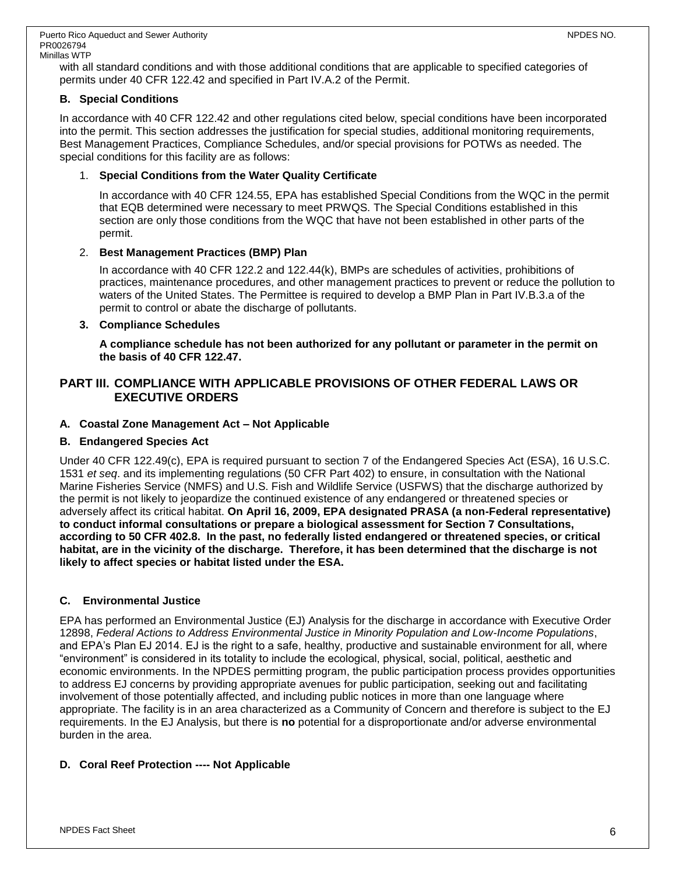with all standard conditions and with those additional conditions that are applicable to specified categories of permits under 40 CFR 122.42 and specified in Part IV.A.2 of the Permit.

### **B. Special Conditions**

In accordance with 40 CFR 122.42 and other regulations cited below, special conditions have been incorporated into the permit. This section addresses the justification for special studies, additional monitoring requirements, Best Management Practices, Compliance Schedules, and/or special provisions for POTWs as needed. The special conditions for this facility are as follows:

### 1. **Special Conditions from the Water Quality Certificate**

In accordance with 40 CFR 124.55, EPA has established Special Conditions from the WQC in the permit that EQB determined were necessary to meet PRWQS. The Special Conditions established in this section are only those conditions from the WQC that have not been established in other parts of the permit.

### 2. **Best Management Practices (BMP) Plan**

In accordance with 40 CFR 122.2 and 122.44(k), BMPs are schedules of activities, prohibitions of practices, maintenance procedures, and other management practices to prevent or reduce the pollution to waters of the United States. The Permittee is required to develop a BMP Plan in Part IV.B.3.a of the permit to control or abate the discharge of pollutants.

### **3. Compliance Schedules**

**A compliance schedule has not been authorized for any pollutant or parameter in the permit on the basis of 40 CFR 122.47.**

### **PART III. COMPLIANCE WITH APPLICABLE PROVISIONS OF OTHER FEDERAL LAWS OR EXECUTIVE ORDERS**

### **A. Coastal Zone Management Act – Not Applicable**

### **B. Endangered Species Act**

Under 40 CFR 122.49(c), EPA is required pursuant to section 7 of the Endangered Species Act (ESA), 16 U.S.C. 1531 *et seq*. and its implementing regulations (50 CFR Part 402) to ensure, in consultation with the National Marine Fisheries Service (NMFS) and U.S. Fish and Wildlife Service (USFWS) that the discharge authorized by the permit is not likely to jeopardize the continued existence of any endangered or threatened species or adversely affect its critical habitat. **On April 16, 2009, EPA designated PRASA (a non-Federal representative) to conduct informal consultations or prepare a biological assessment for Section 7 Consultations, according to 50 CFR 402.8. In the past, no federally listed endangered or threatened species, or critical habitat, are in the vicinity of the discharge. Therefore, it has been determined that the discharge is not likely to affect species or habitat listed under the ESA.**

### **C. Environmental Justice**

EPA has performed an Environmental Justice (EJ) Analysis for the discharge in accordance with Executive Order 12898, *Federal Actions to Address Environmental Justice in Minority Population and Low-Income Populations*, and EPA's Plan EJ 2014. EJ is the right to a safe, healthy, productive and sustainable environment for all, where "environment" is considered in its totality to include the ecological, physical, social, political, aesthetic and economic environments. In the NPDES permitting program, the public participation process provides opportunities to address EJ concerns by providing appropriate avenues for public participation, seeking out and facilitating involvement of those potentially affected, and including public notices in more than one language where appropriate. The facility is in an area characterized as a Community of Concern and therefore is subject to the EJ requirements. In the EJ Analysis, but there is **no** potential for a disproportionate and/or adverse environmental burden in the area.

### **D. Coral Reef Protection ---- Not Applicable**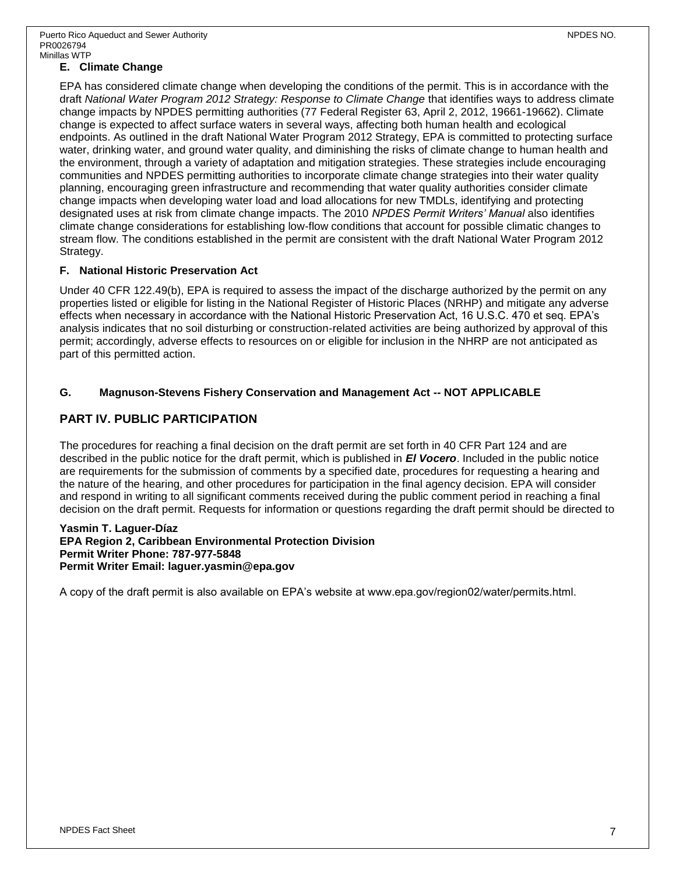### **E. Climate Change**

EPA has considered climate change when developing the conditions of the permit. This is in accordance with the draft *National Water Program 2012 Strategy: Response to Climate Change* that identifies ways to address climate change impacts by NPDES permitting authorities (77 Federal Register 63, April 2, 2012, 19661-19662). Climate change is expected to affect surface waters in several ways, affecting both human health and ecological endpoints. As outlined in the draft National Water Program 2012 Strategy, EPA is committed to protecting surface water, drinking water, and ground water quality, and diminishing the risks of climate change to human health and the environment, through a variety of adaptation and mitigation strategies. These strategies include encouraging communities and NPDES permitting authorities to incorporate climate change strategies into their water quality planning, encouraging green infrastructure and recommending that water quality authorities consider climate change impacts when developing water load and load allocations for new TMDLs, identifying and protecting designated uses at risk from climate change impacts. The 2010 *NPDES Permit Writers' Manual* also identifies climate change considerations for establishing low-flow conditions that account for possible climatic changes to stream flow. The conditions established in the permit are consistent with the draft National Water Program 2012 Strategy.

#### **F. National Historic Preservation Act**

Under 40 CFR 122.49(b), EPA is required to assess the impact of the discharge authorized by the permit on any properties listed or eligible for listing in the National Register of Historic Places (NRHP) and mitigate any adverse effects when necessary in accordance with the National Historic Preservation Act, 16 U.S.C. 470 et seq. EPA's analysis indicates that no soil disturbing or construction-related activities are being authorized by approval of this permit; accordingly, adverse effects to resources on or eligible for inclusion in the NHRP are not anticipated as part of this permitted action.

#### **G. Magnuson-Stevens Fishery Conservation and Management Act -- NOT APPLICABLE**

### **PART IV. PUBLIC PARTICIPATION**

The procedures for reaching a final decision on the draft permit are set forth in 40 CFR Part 124 and are described in the public notice for the draft permit, which is published in *El Vocero*. Included in the public notice are requirements for the submission of comments by a specified date, procedures for requesting a hearing and the nature of the hearing, and other procedures for participation in the final agency decision. EPA will consider and respond in writing to all significant comments received during the public comment period in reaching a final decision on the draft permit. Requests for information or questions regarding the draft permit should be directed to

#### **Yasmin T. Laguer-Díaz EPA Region 2, Caribbean Environmental Protection Division Permit Writer Phone: 787-977-5848 Permit Writer Email: laguer.yasmin@epa.gov**

A copy of the draft permit is also available on EPA's website at www.epa.gov/region02/water/permits.html.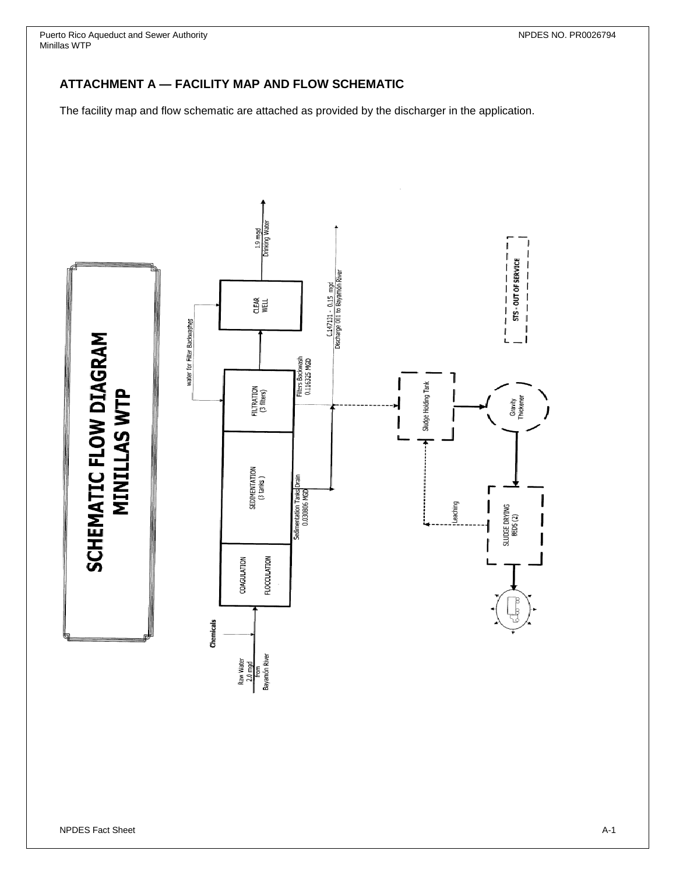Puerto Rico Aqueduct and Sewer Authority NPDES NO. PR0026794 Minillas WTP

# **ATTACHMENT A — FACILITY MAP AND FLOW SCHEMATIC**

The facility map and flow schematic are attached as provided by the discharger in the application.